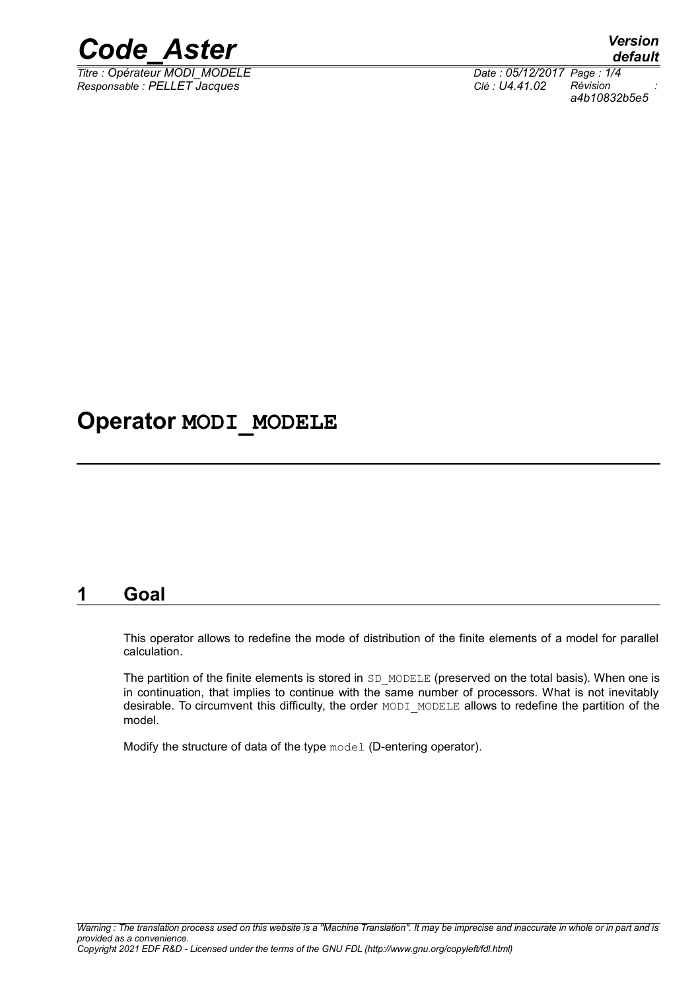

*Titre : Opérateur MODI\_MODELE Date : 05/12/2017 Page : 1/4 Responsable : PELLET Jacques Clé : U4.41.02 Révision :*

*default*

*a4b10832b5e5*

## **Operator MODI\_MODELE**

### **1 Goal**

This operator allows to redefine the mode of distribution of the finite elements of a model for parallel calculation.

The partition of the finite elements is stored in SD\_MODELE (preserved on the total basis). When one is in continuation, that implies to continue with the same number of processors. What is not inevitably desirable. To circumvent this difficulty, the order MODI MODELE allows to redefine the partition of the model.

Modify the structure of data of the type model (D-entering operator).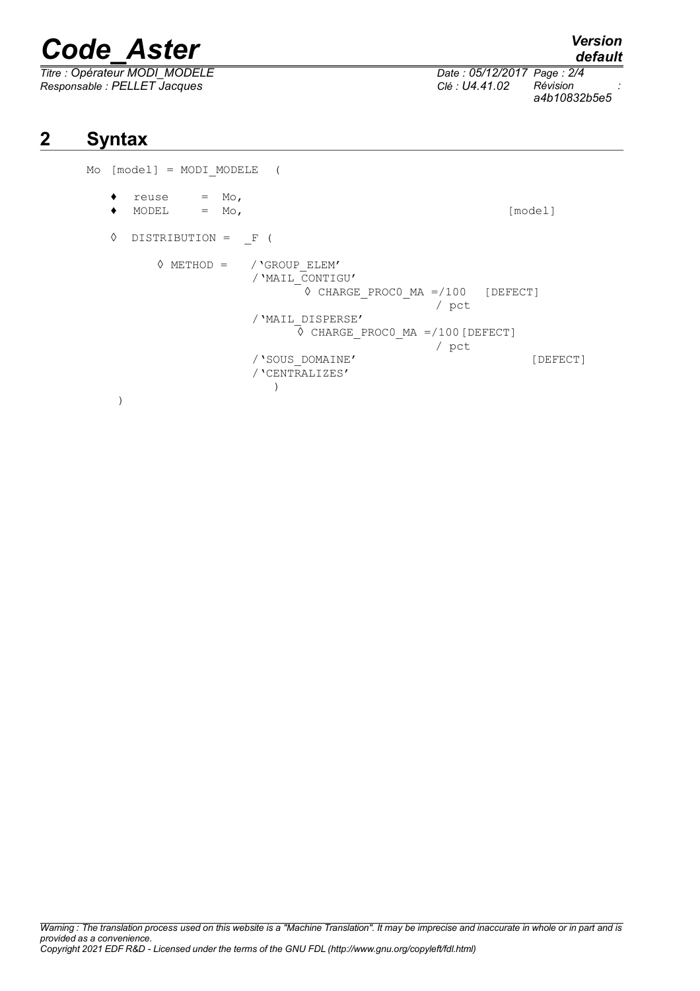# *Code\_Aster Version*

*Titre : Opérateur MODI\_MODELE Date : 05/12/2017 Page : 2/4 Responsable : PELLET Jacques Clé : U4.41.02 Révision :*

*a4b10832b5e5*

## **2 Syntax**

Mo [model] = MODI\_MODELE (  $\bullet$  reuse = Mo, ♦ MODEL = Mo, [model] ◊ DISTRIBUTION = \_F (  $\Diamond$  METHOD = / 'GROUP ELEM' /'MAIL\_CONTIGU' ◊ CHARGE\_PROC0\_MA =/100 [DEFECT] / pct /'MAIL\_DISPERSE'  $\circ$  CHARGE PROC0 MA =/100 [DEFECT] / pct /'SOUS DOMAINE' [DEFECT] /'CENTRALIZES'  $)$  $\overline{\phantom{a}}$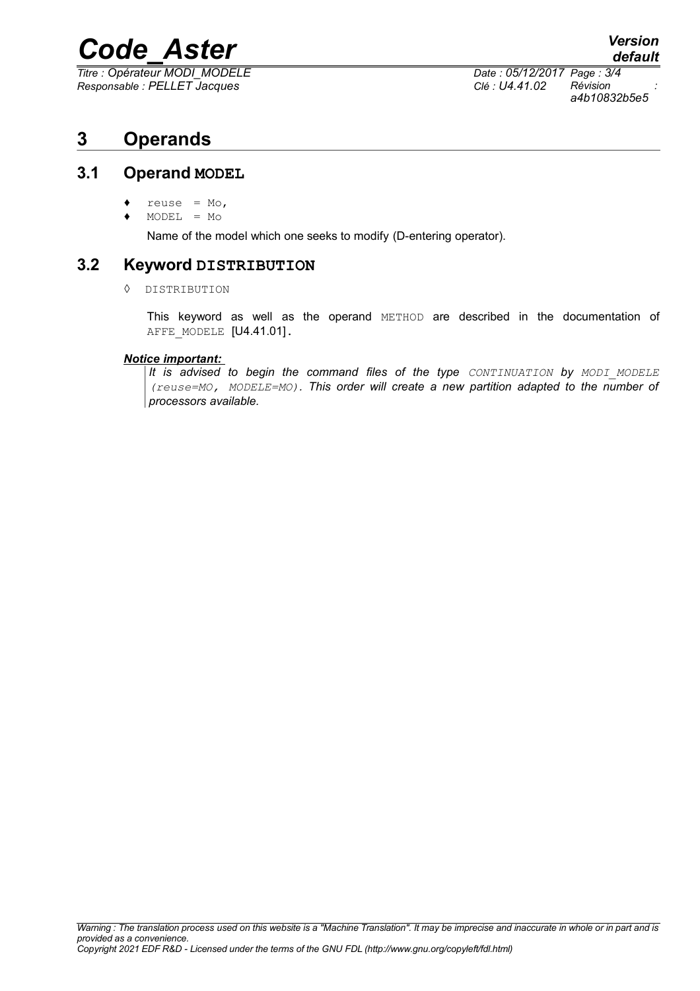# *Code\_Aster Version*

*Titre : Opérateur MODI\_MODELE Date : 05/12/2017 Page : 3/4 Responsable : PELLET Jacques Clé : U4.41.02 Révision :*

*a4b10832b5e5*

### **3 Operands**

#### **3.1 Operand MODEL**

- reuse =  $Mo$ ,
- ♦ MODEL = Mo

Name of the model which one seeks to modify (D-entering operator).

#### **3.2 Keyword DISTRIBUTION**

◊ DISTRIBUTION

This keyword as well as the operand METHOD are described in the documentation of AFFE MODELE [U4.41.01].

#### *Notice important:*

*It is advised to begin the command files of the type CONTINUATION by MODI\_MODELE (reuse=MO, MODELE=MO). This order will create a new partition adapted to the number of processors available.*